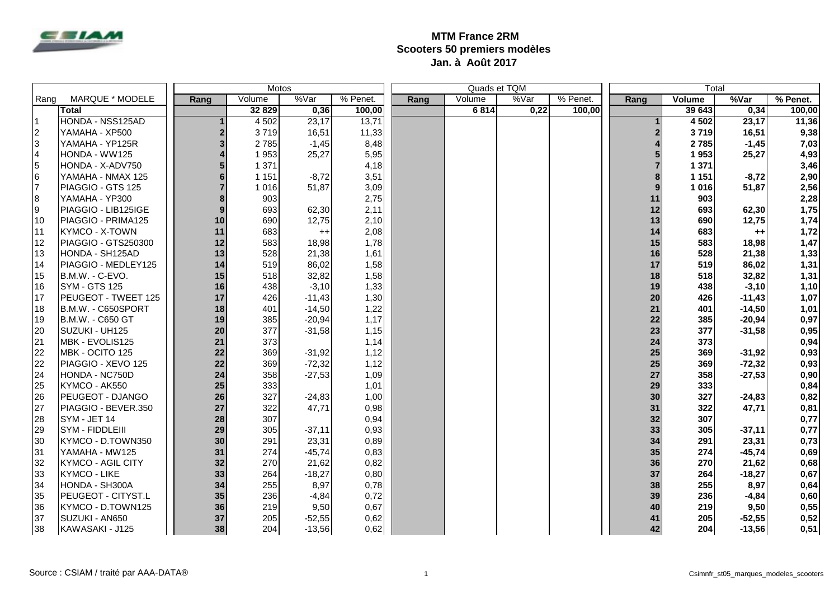

## **MTM France 2RM Scooters 50 premiers modèles Jan. à Août 2017**

|           |                           |      |         | Motos    |          |      |        | Quads et TQM |          | Total |         |          |          |
|-----------|---------------------------|------|---------|----------|----------|------|--------|--------------|----------|-------|---------|----------|----------|
| Rang      | MARQUE * MODELE           | Rang | Volume  | %Var     | % Penet. | Rang | Volume | %Var         | % Penet. | Rang  | Volume  | %Var     | % Penet. |
|           | Total                     |      | 32 829  | 0,36     | 100,00   |      | 6814   | 0,22         | 100.00   |       | 39643   | 0,34     | 100,00   |
| I1        | HONDA - NSS125AD          |      | 4 5 0 2 | 23,17    | 13,71    |      |        |              |          |       | 4 5 0 2 | 23,17    | 11,36    |
| $\vert$ 2 | YAMAHA - XP500            | 2    | 3719    | 16,51    | 11,33    |      |        |              |          |       | 3719    | 16,51    | 9,38     |
| 3         | YAMAHA - YP125R           | 3    | 2785    | $-1,45$  | 8,48     |      |        |              |          |       | 2785    | $-1,45$  | 7,03     |
| 4         | HONDA - WW125             |      | 1953    | 25,27    | 5,95     |      |        |              |          |       | 1953    | 25,27    | 4,93     |
| 5         | HONDA - X-ADV750          |      | 1 3 7 1 |          | 4,18     |      |        |              |          |       | 1 3 7 1 |          | 3,46     |
| l6        | YAMAHA - NMAX 125         |      | 1 1 5 1 | $-8,72$  | 3,51     |      |        |              |          |       | 1 1 5 1 | $-8,72$  | 2,90     |
| l7        | PIAGGIO - GTS 125         |      | 1 0 1 6 | 51,87    | 3,09     |      |        |              |          |       | 1016    | 51,87    | 2,56     |
| 8         | YAMAHA - YP300            |      | 903     |          | 2,75     |      |        |              |          | 11    | 903     |          | 2,28     |
| 9         | PIAGGIO - LIB125IGE       | 9    | 693     | 62,30    | 2,11     |      |        |              |          | 12    | 693     | 62,30    | 1,75     |
| 110       | PIAGGIO - PRIMA125        | 10   | 690     | 12,75    | 2,10     |      |        |              |          | 13    | 690     | 12,75    | 1,74     |
| 111       | <b>KYMCO - X-TOWN</b>     | 11   | 683     | $^{++}$  | 2,08     |      |        |              |          | 14    | 683     | $++$     | 1,72     |
| 12        | PIAGGIO - GTS250300       | 12   | 583     | 18,98    | 1,78     |      |        |              |          | 15    | 583     | 18,98    | 1,47     |
| 13        | HONDA - SH125AD           | 13   | 528     | 21,38    | 1,61     |      |        |              |          | 16    | 528     | 21,38    | 1,33     |
| 14        | PIAGGIO - MEDLEY125       | 14   | 519     | 86,02    | 1,58     |      |        |              |          | 17    | 519     | 86,02    | 1,31     |
| I15       | B.M.W. - C-EVO.           | 15   | 518     | 32,82    | 1,58     |      |        |              |          | 18    | 518     | 32,82    | 1,31     |
| 16        | <b>SYM - GTS 125</b>      | 16   | 438     | $-3,10$  | 1,33     |      |        |              |          | 19    | 438     | $-3,10$  | 1,10     |
| I17       | PEUGEOT - TWEET 125       | 17   | 426     | $-11,43$ | 1,30     |      |        |              |          | 20    | 426     | $-11,43$ | 1,07     |
| I18       | B.M.W. - C650SPORT        | 18   | 401     | $-14,50$ | 1,22     |      |        |              |          | 21    | 401     | $-14,50$ | 1,01     |
| 19        | B.M.W. - C650 GT          | 19   | 385     | $-20,94$ | 1,17     |      |        |              |          | 22    | 385     | $-20,94$ | 0,97     |
| 20        | SUZUKI - UH125            | 20   | 377     | $-31,58$ | 1,15     |      |        |              |          | 23    | 377     | $-31,58$ | 0,95     |
| 21        | MBK - EVOLIS125           | 21   | 373     |          | 1,14     |      |        |              |          | 24    | 373     |          | 0,94     |
| 22        | MBK - OCITO 125           | 22   | 369     | $-31,92$ | 1,12     |      |        |              |          | 25    | 369     | $-31,92$ | 0,93     |
| 22        | PIAGGIO - XEVO 125        | 22   | 369     | $-72,32$ | 1,12     |      |        |              |          | 25    | 369     | $-72,32$ | 0,93     |
| 24        | HONDA - NC750D            | 24   | 358     | $-27,53$ | 1,09     |      |        |              |          | 27    | 358     | $-27,53$ | 0,90     |
| 25        | KYMCO - AK550             | 25   | 333     |          | 1,01     |      |        |              |          | 29    | 333     |          | 0,84     |
| 26        | PEUGEOT - DJANGO          | 26   | 327     | $-24,83$ | 1,00     |      |        |              |          | 30    | 327     | $-24,83$ | 0,82     |
| 27        | PIAGGIO - BEVER.350       | 27   | 322     | 47,71    | 0,98     |      |        |              |          | 31    | 322     | 47,71    | 0,81     |
| 28        | SYM - JET 14              | 28   | 307     |          | 0,94     |      |        |              |          | 32    | 307     |          | 0,77     |
| 29        | SYM - FIDDLEIII           | 29   | 305     | $-37,11$ | 0,93     |      |        |              |          | 33    | 305     | $-37,11$ | 0,77     |
| 30        | KYMCO - D.TOWN350         | 30   | 291     | 23,31    | 0,89     |      |        |              |          | 34    | 291     | 23,31    | 0,73     |
| 31        | YAMAHA - MW125            | 31   | 274     | $-45,74$ | 0,83     |      |        |              |          | 35    | 274     | $-45,74$ | 0,69     |
| 32        | <b>KYMCO - AGIL CITY</b>  | 32   | 270     | 21,62    | 0,82     |      |        |              |          | 36    | 270     | 21,62    | 0,68     |
| 33        | <b>KYMCO - LIKE</b>       | 33   | 264     | $-18,27$ | 0,80     |      |        |              |          | 37    | 264     | $-18,27$ | 0,67     |
| 34        | HONDA - SH300A            | 34   | 255     | 8,97     | 0,78     |      |        |              |          | 38    | 255     | 8,97     | 0,64     |
| 35        | <b>PEUGEOT - CITYST.L</b> | 35   | 236     | $-4,84$  | 0,72     |      |        |              |          | 39    | 236     | $-4,84$  | 0,60     |
| 136       | KYMCO - D.TOWN125         | 36   | 219     | 9,50     | 0,67     |      |        |              |          | 40    | 219     | 9,50     | 0,55     |
| 137       | SUZUKI - AN650            | 37   | 205     | $-52,55$ | 0,62     |      |        |              |          | 41    | 205     | $-52,55$ | 0,52     |
| 38        | KAWASAKI - J125           | 38   | 204     | $-13,56$ | 0,62     |      |        |              |          | 42    | 204     | $-13,56$ | 0,51     |